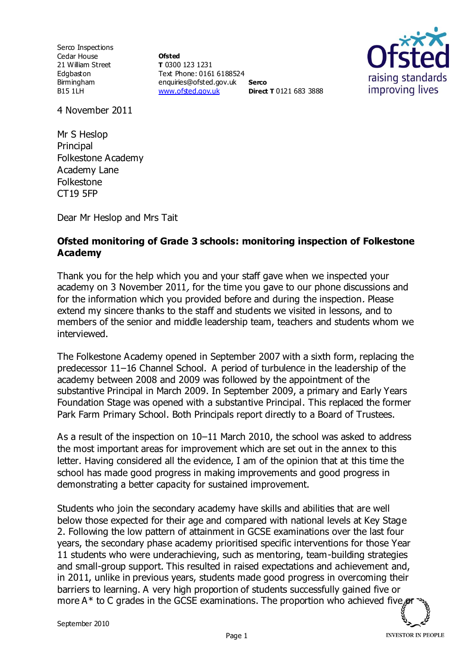Serco Inspections Cedar House 21 William Street Edgbaston Birmingham B15 1LH

**Ofsted T** 0300 123 1231 Text Phone: 0161 6188524 enquiries@ofsted.gov.uk **Serco** [www.ofsted.gov.uk](http://www.ofsted.gov.uk/) **Direct T** 0121 683 3888



4 November 2011

Mr S Heslop Principal Folkestone Academy Academy Lane Folkestone CT19 5FP

Dear Mr Heslop and Mrs Tait

## **Ofsted monitoring of Grade 3 schools: monitoring inspection of Folkestone Academy**

Thank you for the help which you and your staff gave when we inspected your academy on 3 November 2011, for the time you gave to our phone discussions and for the information which you provided before and during the inspection. Please extend my sincere thanks to the staff and students we visited in lessons, and to members of the senior and middle leadership team, teachers and students whom we interviewed.

The Folkestone Academy opened in September 2007 with a sixth form, replacing the predecessor 11–16 Channel School. A period of turbulence in the leadership of the academy between 2008 and 2009 was followed by the appointment of the substantive Principal in March 2009. In September 2009, a primary and Early Years Foundation Stage was opened with a substantive Principal. This replaced the former Park Farm Primary School. Both Principals report directly to a Board of Trustees.

As a result of the inspection on 10–11 March 2010, the school was asked to address the most important areas for improvement which are set out in the annex to this letter. Having considered all the evidence, I am of the opinion that at this time the school has made good progress in making improvements and good progress in demonstrating a better capacity for sustained improvement.

Students who join the secondary academy have skills and abilities that are well below those expected for their age and compared with national levels at Key Stage 2. Following the low pattern of attainment in GCSE examinations over the last four years, the secondary phase academy prioritised specific interventions for those Year 11 students who were underachieving, such as mentoring, team-building strategies and small-group support. This resulted in raised expectations and achievement and, in 2011, unlike in previous years, students made good progress in overcoming their barriers to learning. A very high proportion of students successfully gained five or more A\* to C grades in the GCSE examinations. The proportion who achieved five  $\mathcal{C}$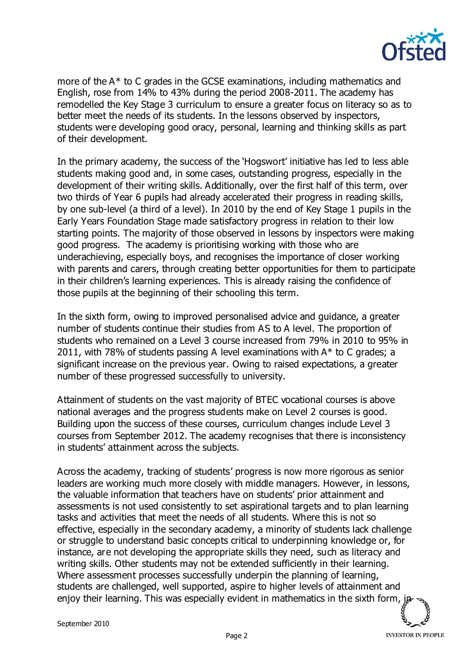

more of the A\* to C grades in the GCSE examinations, including mathematics and English, rose from 14% to 43% during the period 2008-2011. The academy has remodelled the Key Stage 3 curriculum to ensure a greater focus on literacy so as to better meet the needs of its students. In the lessons observed by inspectors, students were developing good oracy, personal, learning and thinking skills as part of their development.

In the primary academy, the success of the 'Hogswort' initiative has led to less able students making good and, in some cases, outstanding progress, especially in the development of their writing skills. Additionally, over the first half of this term, over two thirds of Year 6 pupils had already accelerated their progress in reading skills, by one sub-level (a third of a level). In 2010 by the end of Key Stage 1 pupils in the Early Years Foundation Stage made satisfactory progress in relation to their low starting points. The majority of those observed in lessons by inspectors were making good progress. The academy is prioritising working with those who are underachieving, especially boys, and recognises the importance of closer working with parents and carers, through creating better opportunities for them to participate in their children's learning experiences. This is already raising the confidence of those pupils at the beginning of their schooling this term.

In the sixth form, owing to improved personalised advice and guidance, a greater number of students continue their studies from AS to A level. The proportion of students who remained on a Level 3 course increased from 79% in 2010 to 95% in 2011, with 78% of students passing A level examinations with  $A^*$  to C grades; a significant increase on the previous year. Owing to raised expectations, a greater number of these progressed successfully to university.

Attainment of students on the vast majority of BTEC vocational courses is above national averages and the progress students make on Level 2 courses is good. Building upon the success of these courses, curriculum changes include Level 3 courses from September 2012. The academy recognises that there is inconsistency in students' attainment across the subjects.

Across the academy, tracking of students' progress is now more rigorous as senior leaders are working much more closely with middle managers. However, in lessons, the valuable information that teachers have on students' prior attainment and assessments is not used consistently to set aspirational targets and to plan learning tasks and activities that meet the needs of all students. Where this is not so effective, especially in the secondary academy, a minority of students lack challenge or struggle to understand basic concepts critical to underpinning knowledge or, for instance, are not developing the appropriate skills they need, such as literacy and writing skills. Other students may not be extended sufficiently in their learning. Where assessment processes successfully underpin the planning of learning, students are challenged, well supported, aspire to higher levels of attainment and enjoy their learning. This was especially evident in mathematics in the sixth form,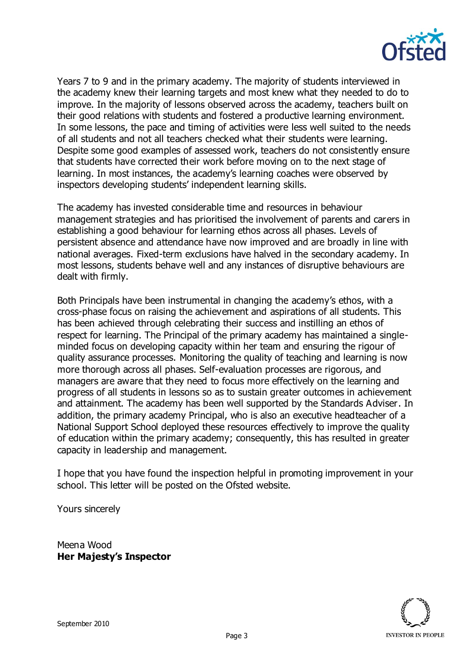

Years 7 to 9 and in the primary academy. The majority of students interviewed in the academy knew their learning targets and most knew what they needed to do to improve. In the majority of lessons observed across the academy, teachers built on their good relations with students and fostered a productive learning environment. In some lessons, the pace and timing of activities were less well suited to the needs of all students and not all teachers checked what their students were learning. Despite some good examples of assessed work, teachers do not consistently ensure that students have corrected their work before moving on to the next stage of learning. In most instances, the academy's learning coaches were observed by inspectors developing students' independent learning skills.

The academy has invested considerable time and resources in behaviour management strategies and has prioritised the involvement of parents and carers in establishing a good behaviour for learning ethos across all phases. Levels of persistent absence and attendance have now improved and are broadly in line with national averages. Fixed-term exclusions have halved in the secondary academy. In most lessons, students behave well and any instances of disruptive behaviours are dealt with firmly.

Both Principals have been instrumental in changing the academy's ethos, with a cross-phase focus on raising the achievement and aspirations of all students. This has been achieved through celebrating their success and instilling an ethos of respect for learning. The Principal of the primary academy has maintained a singleminded focus on developing capacity within her team and ensuring the rigour of quality assurance processes. Monitoring the quality of teaching and learning is now more thorough across all phases. Self-evaluation processes are rigorous, and managers are aware that they need to focus more effectively on the learning and progress of all students in lessons so as to sustain greater outcomes in achievement and attainment. The academy has been well supported by the Standards Adviser. In addition, the primary academy Principal, who is also an executive headteacher of a National Support School deployed these resources effectively to improve the quality of education within the primary academy; consequently, this has resulted in greater capacity in leadership and management.

I hope that you have found the inspection helpful in promoting improvement in your school. This letter will be posted on the Ofsted website.

Yours sincerely

Meena Wood **Her Majesty's Inspector**